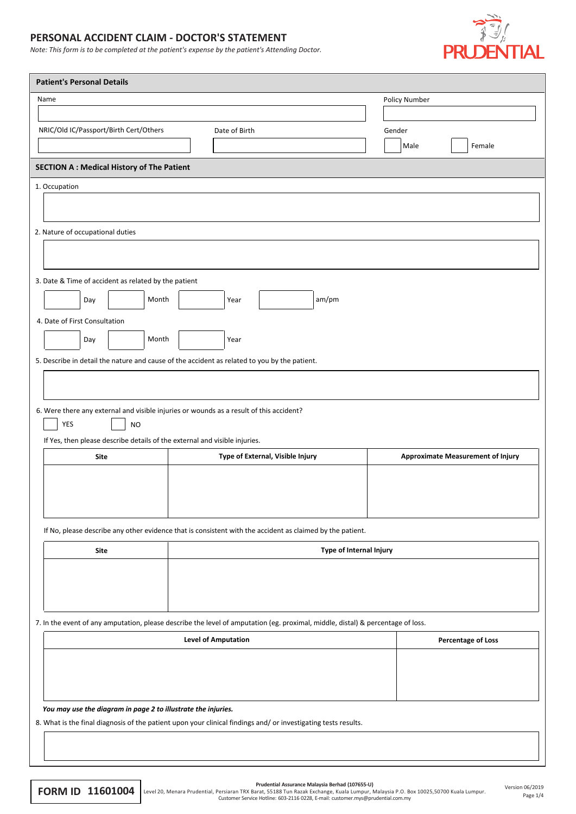## **PERSONAL ACCIDENT CLAIM - DOCTOR'S STATEMENT**

*Note: This form is to be completed at the patient's expense by the patient's Attending Doctor.*



| <b>Patient's Personal Details</b>                                          |                                                                                                                                 |                                          |  |  |  |  |  |  |
|----------------------------------------------------------------------------|---------------------------------------------------------------------------------------------------------------------------------|------------------------------------------|--|--|--|--|--|--|
| Name                                                                       |                                                                                                                                 | Policy Number                            |  |  |  |  |  |  |
|                                                                            |                                                                                                                                 |                                          |  |  |  |  |  |  |
| NRIC/Old IC/Passport/Birth Cert/Others                                     | Date of Birth                                                                                                                   | Gender                                   |  |  |  |  |  |  |
|                                                                            |                                                                                                                                 | Female<br>Male                           |  |  |  |  |  |  |
| <b>SECTION A: Medical History of The Patient</b>                           |                                                                                                                                 |                                          |  |  |  |  |  |  |
| 1. Occupation                                                              |                                                                                                                                 |                                          |  |  |  |  |  |  |
|                                                                            |                                                                                                                                 |                                          |  |  |  |  |  |  |
|                                                                            |                                                                                                                                 |                                          |  |  |  |  |  |  |
| 2. Nature of occupational duties                                           |                                                                                                                                 |                                          |  |  |  |  |  |  |
|                                                                            |                                                                                                                                 |                                          |  |  |  |  |  |  |
|                                                                            |                                                                                                                                 |                                          |  |  |  |  |  |  |
| 3. Date & Time of accident as related by the patient                       |                                                                                                                                 |                                          |  |  |  |  |  |  |
| Month<br>Day                                                               | am/pm<br>Year                                                                                                                   |                                          |  |  |  |  |  |  |
| 4. Date of First Consultation                                              |                                                                                                                                 |                                          |  |  |  |  |  |  |
| Month<br>Day                                                               | Year                                                                                                                            |                                          |  |  |  |  |  |  |
|                                                                            | 5. Describe in detail the nature and cause of the accident as related to you by the patient.                                    |                                          |  |  |  |  |  |  |
|                                                                            |                                                                                                                                 |                                          |  |  |  |  |  |  |
|                                                                            |                                                                                                                                 |                                          |  |  |  |  |  |  |
|                                                                            | 6. Were there any external and visible injuries or wounds as a result of this accident?                                         |                                          |  |  |  |  |  |  |
| YES<br><b>NO</b>                                                           |                                                                                                                                 |                                          |  |  |  |  |  |  |
| If Yes, then please describe details of the external and visible injuries. |                                                                                                                                 |                                          |  |  |  |  |  |  |
| Site                                                                       | Type of External, Visible Injury                                                                                                | <b>Approximate Measurement of Injury</b> |  |  |  |  |  |  |
|                                                                            |                                                                                                                                 |                                          |  |  |  |  |  |  |
|                                                                            |                                                                                                                                 |                                          |  |  |  |  |  |  |
|                                                                            |                                                                                                                                 |                                          |  |  |  |  |  |  |
|                                                                            |                                                                                                                                 |                                          |  |  |  |  |  |  |
|                                                                            | If No, please describe any other evidence that is consistent with the accident as claimed by the patient.                       |                                          |  |  |  |  |  |  |
| Site                                                                       |                                                                                                                                 | Type of Internal Injury                  |  |  |  |  |  |  |
|                                                                            |                                                                                                                                 |                                          |  |  |  |  |  |  |
|                                                                            |                                                                                                                                 |                                          |  |  |  |  |  |  |
|                                                                            |                                                                                                                                 |                                          |  |  |  |  |  |  |
|                                                                            |                                                                                                                                 |                                          |  |  |  |  |  |  |
|                                                                            | 7. In the event of any amputation, please describe the level of amputation (eg. proximal, middle, distal) & percentage of loss. |                                          |  |  |  |  |  |  |
|                                                                            | <b>Level of Amputation</b>                                                                                                      | <b>Percentage of Loss</b>                |  |  |  |  |  |  |
|                                                                            |                                                                                                                                 |                                          |  |  |  |  |  |  |
|                                                                            |                                                                                                                                 |                                          |  |  |  |  |  |  |
|                                                                            |                                                                                                                                 |                                          |  |  |  |  |  |  |
| You may use the diagram in page 2 to illustrate the injuries.              |                                                                                                                                 |                                          |  |  |  |  |  |  |
|                                                                            | 8. What is the final diagnosis of the patient upon your clinical findings and/ or investigating tests results.                  |                                          |  |  |  |  |  |  |

Prudential Assurance Malaysia Berhad (107655-U)<br>Customer Service Hotline: 63518 Tun Razak Exchange, Kuala Lumpur, Malaysia P.O. Box 10025,50700 Kuala Lumpur.<br>Page 1/4 Customer Service Hotline: 603-2116 0228, E-mail: custom

Page 1/4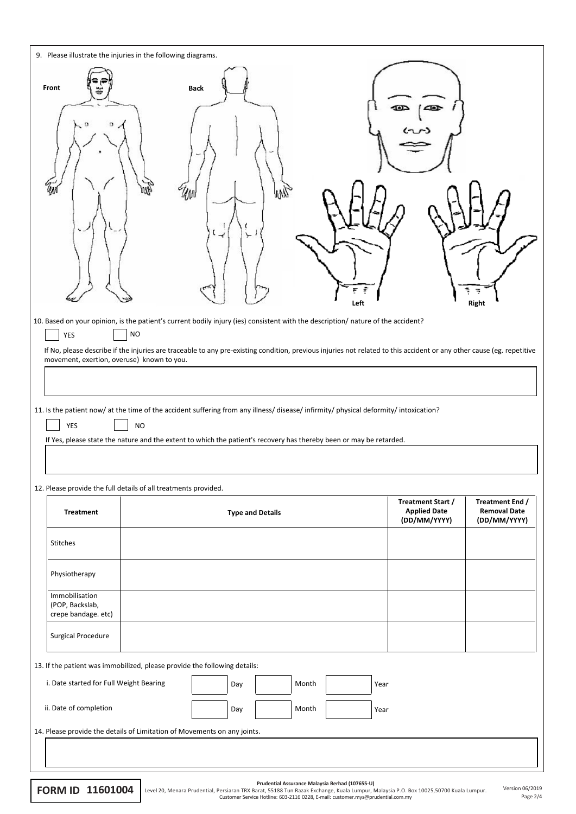| 9. Please illustrate the injuries in the following diagrams.                                                                                                                                                                                                                                                                                                                                                                                                                                                                                                                                                                                                   |                                     |                                                          |                                                        |  |  |  |  |  |  |
|----------------------------------------------------------------------------------------------------------------------------------------------------------------------------------------------------------------------------------------------------------------------------------------------------------------------------------------------------------------------------------------------------------------------------------------------------------------------------------------------------------------------------------------------------------------------------------------------------------------------------------------------------------------|-------------------------------------|----------------------------------------------------------|--------------------------------------------------------|--|--|--|--|--|--|
| Front<br>Ŵ                                                                                                                                                                                                                                                                                                                                                                                                                                                                                                                                                                                                                                                     | <b>Back</b><br>₩Ŋ<br>Ŵ<br>≺<br>Left | $\blacksquare$<br>¦ 4®r                                  | ţ<br>Right                                             |  |  |  |  |  |  |
| 10. Based on your opinion, is the patient's current bodily injury (ies) consistent with the description/nature of the accident?<br><b>NO</b><br>YES<br>If No, please describe if the injuries are traceable to any pre-existing condition, previous injuries not related to this accident or any other cause (eg. repetitive<br>movement, exertion, overuse) known to you.<br>11. Is the patient now/ at the time of the accident suffering from any illness/ disease/ infirmity/ physical deformity/ intoxication?<br>YES<br><b>NO</b><br>If Yes, please state the nature and the extent to which the patient's recovery has thereby been or may be retarded. |                                     |                                                          |                                                        |  |  |  |  |  |  |
| 12. Please provide the full details of all treatments provided.                                                                                                                                                                                                                                                                                                                                                                                                                                                                                                                                                                                                |                                     |                                                          |                                                        |  |  |  |  |  |  |
| <b>Treatment</b>                                                                                                                                                                                                                                                                                                                                                                                                                                                                                                                                                                                                                                               | <b>Type and Details</b>             | Treatment Start /<br><b>Applied Date</b><br>(DD/MM/YYYY) | Treatment End /<br><b>Removal Date</b><br>(DD/MM/YYYY) |  |  |  |  |  |  |
| Stitches                                                                                                                                                                                                                                                                                                                                                                                                                                                                                                                                                                                                                                                       |                                     |                                                          |                                                        |  |  |  |  |  |  |
| Physiotherapy                                                                                                                                                                                                                                                                                                                                                                                                                                                                                                                                                                                                                                                  |                                     |                                                          |                                                        |  |  |  |  |  |  |
| Immobilisation<br>(POP, Backslab,<br>crepe bandage. etc)                                                                                                                                                                                                                                                                                                                                                                                                                                                                                                                                                                                                       |                                     |                                                          |                                                        |  |  |  |  |  |  |
| <b>Surgical Procedure</b>                                                                                                                                                                                                                                                                                                                                                                                                                                                                                                                                                                                                                                      |                                     |                                                          |                                                        |  |  |  |  |  |  |
| 13. If the patient was immobilized, please provide the following details:                                                                                                                                                                                                                                                                                                                                                                                                                                                                                                                                                                                      |                                     |                                                          |                                                        |  |  |  |  |  |  |
| i. Date started for Full Weight Bearing                                                                                                                                                                                                                                                                                                                                                                                                                                                                                                                                                                                                                        | Month<br>Day<br>Year                |                                                          |                                                        |  |  |  |  |  |  |
| ii. Date of completion                                                                                                                                                                                                                                                                                                                                                                                                                                                                                                                                                                                                                                         | Month<br>Day<br>Year                |                                                          |                                                        |  |  |  |  |  |  |
| 14. Please provide the details of Limitation of Movements on any joints.                                                                                                                                                                                                                                                                                                                                                                                                                                                                                                                                                                                       |                                     |                                                          |                                                        |  |  |  |  |  |  |
|                                                                                                                                                                                                                                                                                                                                                                                                                                                                                                                                                                                                                                                                |                                     |                                                          |                                                        |  |  |  |  |  |  |

Prudential Assurance Malaysia Berhad (107655-U)<br>Level 20, Menara Prudential, Persiaran TRX Barat, 55188 Tun Razak Exchange, Kuala Lumpur, Malaysia P.O. Box 10025,50700 Kuala Lumpur. Version 06/2019<br>Customer Service Hotline

Page 2/4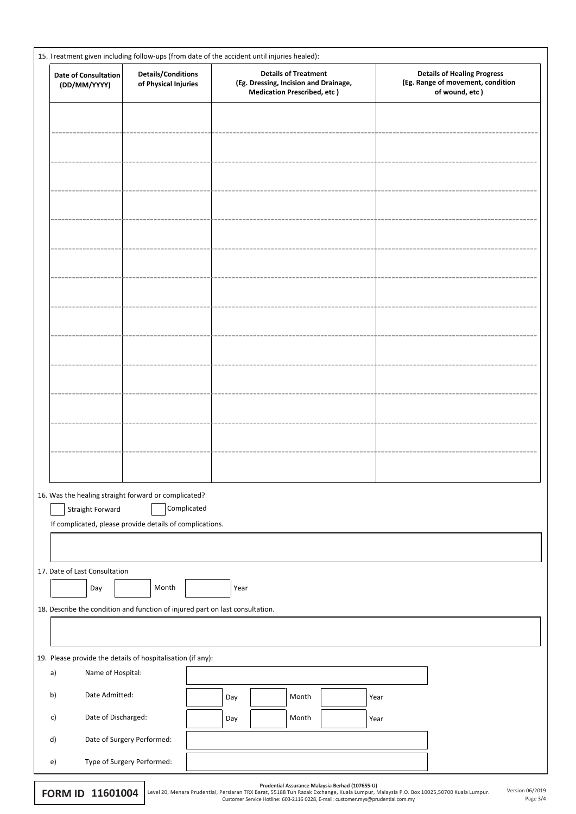| 15. Treatment given including follow-ups (from date of the accident until injuries healed): |                                                                               |      |                                                                                                            |  |      |                                                                                           |
|---------------------------------------------------------------------------------------------|-------------------------------------------------------------------------------|------|------------------------------------------------------------------------------------------------------------|--|------|-------------------------------------------------------------------------------------------|
| Date of Consultation<br>(DD/MM/YYYY)                                                        | <b>Details/Conditions</b><br>of Physical Injuries                             |      | <b>Details of Treatment</b><br>(Eg. Dressing, Incision and Drainage,<br><b>Medication Prescribed, etc)</b> |  |      | <b>Details of Healing Progress</b><br>(Eg. Range of movement, condition<br>of wound, etc) |
|                                                                                             |                                                                               |      |                                                                                                            |  |      |                                                                                           |
|                                                                                             |                                                                               |      |                                                                                                            |  |      |                                                                                           |
|                                                                                             |                                                                               |      |                                                                                                            |  |      |                                                                                           |
|                                                                                             |                                                                               |      |                                                                                                            |  |      |                                                                                           |
|                                                                                             |                                                                               |      |                                                                                                            |  |      |                                                                                           |
|                                                                                             |                                                                               |      |                                                                                                            |  |      |                                                                                           |
|                                                                                             |                                                                               |      |                                                                                                            |  |      |                                                                                           |
|                                                                                             |                                                                               |      |                                                                                                            |  |      |                                                                                           |
|                                                                                             |                                                                               |      |                                                                                                            |  |      |                                                                                           |
|                                                                                             |                                                                               |      |                                                                                                            |  |      |                                                                                           |
|                                                                                             |                                                                               |      |                                                                                                            |  |      |                                                                                           |
|                                                                                             |                                                                               |      |                                                                                                            |  |      |                                                                                           |
|                                                                                             |                                                                               |      |                                                                                                            |  |      |                                                                                           |
|                                                                                             |                                                                               |      |                                                                                                            |  |      |                                                                                           |
|                                                                                             | 16. Was the healing straight forward or complicated?                          |      |                                                                                                            |  |      |                                                                                           |
| Straight Forward                                                                            | Complicated<br>If complicated, please provide details of complications.       |      |                                                                                                            |  |      |                                                                                           |
|                                                                                             |                                                                               |      |                                                                                                            |  |      |                                                                                           |
| 17. Date of Last Consultation                                                               |                                                                               |      |                                                                                                            |  |      |                                                                                           |
| Day                                                                                         | Month                                                                         | Year |                                                                                                            |  |      |                                                                                           |
|                                                                                             | 18. Describe the condition and function of injured part on last consultation. |      |                                                                                                            |  |      |                                                                                           |
|                                                                                             |                                                                               |      |                                                                                                            |  |      |                                                                                           |
|                                                                                             | 19. Please provide the details of hospitalisation (if any):                   |      |                                                                                                            |  |      |                                                                                           |
| a)                                                                                          | Name of Hospital:                                                             |      |                                                                                                            |  |      |                                                                                           |
| Date Admitted:<br>b)                                                                        |                                                                               | Day  | Month                                                                                                      |  | Year |                                                                                           |
| c)                                                                                          | Date of Discharged:                                                           | Day  | Month                                                                                                      |  | Year |                                                                                           |
| d)                                                                                          | Date of Surgery Performed:                                                    |      |                                                                                                            |  |      |                                                                                           |
| $\epsilon$                                                                                  | Type of Surgery Performed:                                                    |      |                                                                                                            |  |      |                                                                                           |

| 1160100<br><b>FORM ID</b> |  |  |  |  |  |  |  |  |
|---------------------------|--|--|--|--|--|--|--|--|
|---------------------------|--|--|--|--|--|--|--|--|

| Prudential Assurance Malaysia Berhad (107655- |  |  |
|-----------------------------------------------|--|--|
|                                               |  |  |

Page 3/4

Prudential Assurance Malaysia Berhad (107655-U)<br>Customer Serat, 55188 Tun Razak Exchange, Kuala Lumpur, Malaysia P.O. Box 10025,50700 Kuala Lumpur. Version 06/2019<br>Page 3/4 Customer Service Hotline: 603-2116 0228, E-mail: